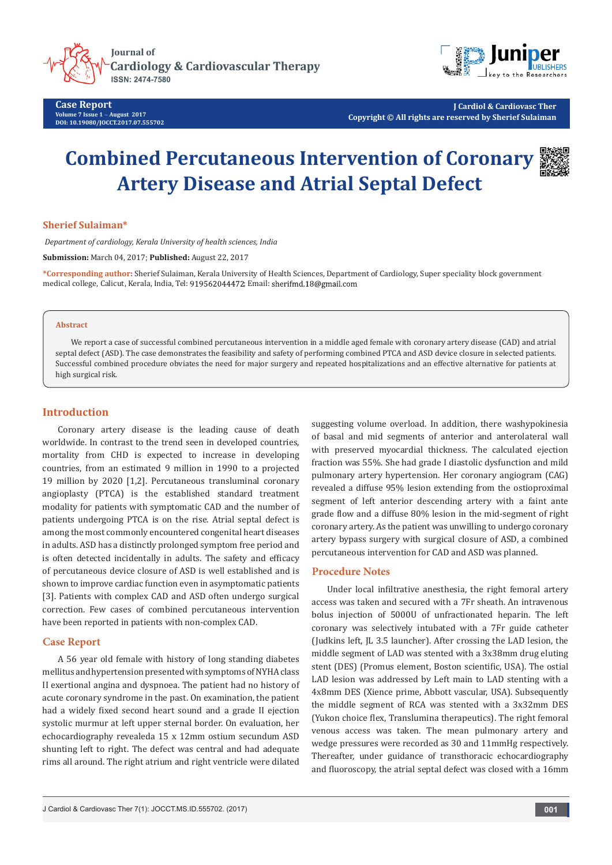

**Case Report Volume 7 Issue 1** - **August 2017 DOI[: 10.19080/JOCCT.2017.07.555702](http://dx.doi.org/10.19080/JOCCT.2017.07.555702
)**



**J Cardiol & Cardiovasc Ther Copyright © All rights are reserved by Sherief Sulaiman**

# **Combined Percutaneous Intervention of Coronary Artery Disease and Atrial Septal Defect**



## **Sherief Sulaiman\***

 *Department of cardiology, Kerala University of health sciences, India*

**Submission:** March 04, 2017; **Published:** August 22, 2017

**\*Corresponding author:** Sherief Sulaiman, Kerala University of Health Sciences, Department of Cardiology, Super speciality block government medical college, Calicut, Kerala, India, Tel: 919562044472; Email: sherifmd.18@gmail.com

#### **Abstract**

We report a case of successful combined percutaneous intervention in a middle aged female with coronary artery disease (CAD) and atrial septal defect (ASD). The case demonstrates the feasibility and safety of performing combined PTCA and ASD device closure in selected patients. Successful combined procedure obviates the need for major surgery and repeated hospitalizations and an effective alternative for patients at high surgical risk.

### **Introduction**

Coronary artery disease is the leading cause of death worldwide. In contrast to the trend seen in developed countries, mortality from CHD is expected to increase in developing countries, from an estimated 9 million in 1990 to a projected 19 million by 2020 [1,2]. Percutaneous transluminal coronary angioplasty (PTCA) is the established standard treatment modality for patients with symptomatic CAD and the number of patients undergoing PTCA is on the rise. Atrial septal defect is among the most commonly encountered congenital heart diseases in adults. ASD has a distinctly prolonged symptom free period and is often detected incidentally in adults. The safety and efficacy of percutaneous device closure of ASD is well established and is shown to improve cardiac function even in asymptomatic patients [3]. Patients with complex CAD and ASD often undergo surgical correction. Few cases of combined percutaneous intervention have been reported in patients with non-complex CAD.

#### **Case Report**

A 56 year old female with history of long standing diabetes mellitus and hypertension presented with symptoms of NYHA class II exertional angina and dyspnoea. The patient had no history of acute coronary syndrome in the past. On examination, the patient had a widely fixed second heart sound and a grade II ejection systolic murmur at left upper sternal border. On evaluation, her echocardiography revealeda 15 x 12mm ostium secundum ASD shunting left to right. The defect was central and had adequate rims all around. The right atrium and right ventricle were dilated

suggesting volume overload. In addition, there washypokinesia of basal and mid segments of anterior and anterolateral wall with preserved myocardial thickness. The calculated ejection fraction was 55%. She had grade I diastolic dysfunction and mild pulmonary artery hypertension. Her coronary angiogram (CAG) revealed a diffuse 95% lesion extending from the ostioproximal segment of left anterior descending artery with a faint ante grade flow and a diffuse 80% lesion in the mid-segment of right coronary artery. As the patient was unwilling to undergo coronary artery bypass surgery with surgical closure of ASD, a combined percutaneous intervention for CAD and ASD was planned.

## **Procedure Notes**

Under local infiltrative anesthesia, the right femoral artery access was taken and secured with a 7Fr sheath. An intravenous bolus injection of 5000U of unfractionated heparin. The left coronary was selectively intubated with a 7Fr guide catheter (Judkins left, JL 3.5 launcher). After crossing the LAD lesion, the middle segment of LAD was stented with a 3x38mm drug eluting stent (DES) (Promus element, Boston scientific, USA). The ostial LAD lesion was addressed by Left main to LAD stenting with a 4x8mm DES (Xience prime, Abbott vascular, USA). Subsequently the middle segment of RCA was stented with a 3x32mm DES (Yukon choice flex, Translumina therapeutics). The right femoral venous access was taken. The mean pulmonary artery and wedge pressures were recorded as 30 and 11mmHg respectively. Thereafter, under guidance of transthoracic echocardiography and fluoroscopy, the atrial septal defect was closed with a 16mm